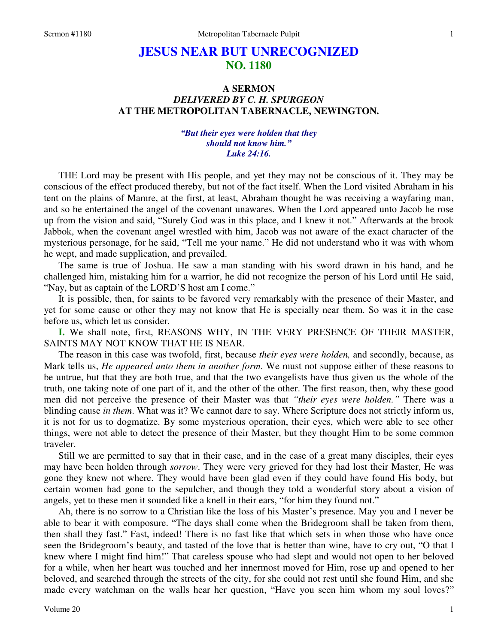# **JESUS NEAR BUT UNRECOGNIZED NO. 1180**

### **A SERMON**  *DELIVERED BY C. H. SPURGEON* **AT THE METROPOLITAN TABERNACLE, NEWINGTON.**

#### *"But their eyes were holden that they should not know him." Luke 24:16.*

THE Lord may be present with His people, and yet they may not be conscious of it. They may be conscious of the effect produced thereby, but not of the fact itself. When the Lord visited Abraham in his tent on the plains of Mamre, at the first, at least, Abraham thought he was receiving a wayfaring man, and so he entertained the angel of the covenant unawares. When the Lord appeared unto Jacob he rose up from the vision and said, "Surely God was in this place, and I knew it not." Afterwards at the brook Jabbok, when the covenant angel wrestled with him, Jacob was not aware of the exact character of the mysterious personage, for he said, "Tell me your name." He did not understand who it was with whom he wept, and made supplication, and prevailed.

The same is true of Joshua. He saw a man standing with his sword drawn in his hand, and he challenged him, mistaking him for a warrior, he did not recognize the person of his Lord until He said, "Nay, but as captain of the LORD'S host am I come."

It is possible, then, for saints to be favored very remarkably with the presence of their Master, and yet for some cause or other they may not know that He is specially near them. So was it in the case before us, which let us consider.

**I.** We shall note, first, REASONS WHY, IN THE VERY PRESENCE OF THEIR MASTER, SAINTS MAY NOT KNOW THAT HE IS NEAR.

The reason in this case was twofold, first, because *their eyes were holden,* and secondly, because, as Mark tells us, *He appeared unto them in another form*. We must not suppose either of these reasons to be untrue, but that they are both true, and that the two evangelists have thus given us the whole of the truth, one taking note of one part of it, and the other of the other. The first reason, then, why these good men did not perceive the presence of their Master was that *"their eyes were holden."* There was a blinding cause *in them*. What was it? We cannot dare to say. Where Scripture does not strictly inform us, it is not for us to dogmatize. By some mysterious operation, their eyes, which were able to see other things, were not able to detect the presence of their Master, but they thought Him to be some common traveler.

Still we are permitted to say that in their case, and in the case of a great many disciples, their eyes may have been holden through *sorrow*. They were very grieved for they had lost their Master, He was gone they knew not where. They would have been glad even if they could have found His body, but certain women had gone to the sepulcher, and though they told a wonderful story about a vision of angels, yet to these men it sounded like a knell in their ears, "for him they found not."

Ah, there is no sorrow to a Christian like the loss of his Master's presence. May you and I never be able to bear it with composure. "The days shall come when the Bridegroom shall be taken from them, then shall they fast." Fast, indeed! There is no fast like that which sets in when those who have once seen the Bridegroom's beauty, and tasted of the love that is better than wine, have to cry out, "O that I knew where I might find him!" That careless spouse who had slept and would not open to her beloved for a while, when her heart was touched and her innermost moved for Him, rose up and opened to her beloved, and searched through the streets of the city, for she could not rest until she found Him, and she made every watchman on the walls hear her question, "Have you seen him whom my soul loves?"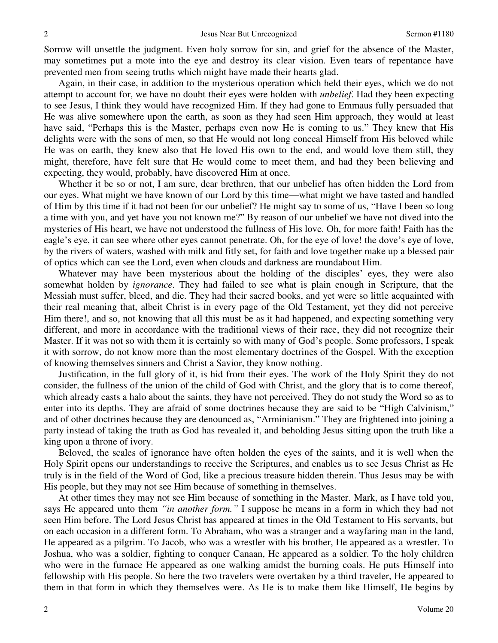Sorrow will unsettle the judgment. Even holy sorrow for sin, and grief for the absence of the Master, may sometimes put a mote into the eye and destroy its clear vision. Even tears of repentance have prevented men from seeing truths which might have made their hearts glad.

Again, in their case, in addition to the mysterious operation which held their eyes, which we do not attempt to account for, we have no doubt their eyes were holden with *unbelief*. Had they been expecting to see Jesus, I think they would have recognized Him. If they had gone to Emmaus fully persuaded that He was alive somewhere upon the earth, as soon as they had seen Him approach, they would at least have said, "Perhaps this is the Master, perhaps even now He is coming to us." They knew that His delights were with the sons of men, so that He would not long conceal Himself from His beloved while He was on earth, they knew also that He loved His own to the end, and would love them still, they might, therefore, have felt sure that He would come to meet them, and had they been believing and expecting, they would, probably, have discovered Him at once.

Whether it be so or not, I am sure, dear brethren, that our unbelief has often hidden the Lord from our eyes. What might we have known of our Lord by this time—what might we have tasted and handled of Him by this time if it had not been for our unbelief? He might say to some of us, "Have I been so long a time with you, and yet have you not known me?" By reason of our unbelief we have not dived into the mysteries of His heart, we have not understood the fullness of His love. Oh, for more faith! Faith has the eagle's eye, it can see where other eyes cannot penetrate. Oh, for the eye of love! the dove's eye of love, by the rivers of waters, washed with milk and fitly set, for faith and love together make up a blessed pair of optics which can see the Lord, even when clouds and darkness are roundabout Him.

Whatever may have been mysterious about the holding of the disciples' eyes, they were also somewhat holden by *ignorance*. They had failed to see what is plain enough in Scripture, that the Messiah must suffer, bleed, and die. They had their sacred books, and yet were so little acquainted with their real meaning that, albeit Christ is in every page of the Old Testament, yet they did not perceive Him there!, and so, not knowing that all this must be as it had happened, and expecting something very different, and more in accordance with the traditional views of their race, they did not recognize their Master. If it was not so with them it is certainly so with many of God's people. Some professors, I speak it with sorrow, do not know more than the most elementary doctrines of the Gospel. With the exception of knowing themselves sinners and Christ a Savior, they know nothing.

Justification, in the full glory of it, is hid from their eyes. The work of the Holy Spirit they do not consider, the fullness of the union of the child of God with Christ, and the glory that is to come thereof, which already casts a halo about the saints, they have not perceived. They do not study the Word so as to enter into its depths. They are afraid of some doctrines because they are said to be "High Calvinism," and of other doctrines because they are denounced as, "Arminianism." They are frightened into joining a party instead of taking the truth as God has revealed it, and beholding Jesus sitting upon the truth like a king upon a throne of ivory.

Beloved, the scales of ignorance have often holden the eyes of the saints, and it is well when the Holy Spirit opens our understandings to receive the Scriptures, and enables us to see Jesus Christ as He truly is in the field of the Word of God, like a precious treasure hidden therein. Thus Jesus may be with His people, but they may not see Him because of something in themselves.

At other times they may not see Him because of something in the Master. Mark, as I have told you, says He appeared unto them *"in another form."* I suppose he means in a form in which they had not seen Him before. The Lord Jesus Christ has appeared at times in the Old Testament to His servants, but on each occasion in a different form. To Abraham, who was a stranger and a wayfaring man in the land, He appeared as a pilgrim. To Jacob, who was a wrestler with his brother, He appeared as a wrestler. To Joshua, who was a soldier, fighting to conquer Canaan, He appeared as a soldier. To the holy children who were in the furnace He appeared as one walking amidst the burning coals. He puts Himself into fellowship with His people. So here the two travelers were overtaken by a third traveler, He appeared to them in that form in which they themselves were. As He is to make them like Himself, He begins by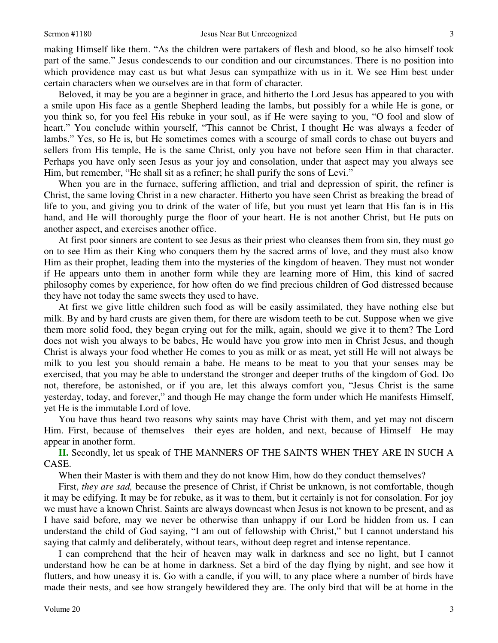making Himself like them. "As the children were partakers of flesh and blood, so he also himself took part of the same." Jesus condescends to our condition and our circumstances. There is no position into which providence may cast us but what Jesus can sympathize with us in it. We see Him best under certain characters when we ourselves are in that form of character.

Beloved, it may be you are a beginner in grace, and hitherto the Lord Jesus has appeared to you with a smile upon His face as a gentle Shepherd leading the lambs, but possibly for a while He is gone, or you think so, for you feel His rebuke in your soul, as if He were saying to you, "O fool and slow of heart." You conclude within yourself, "This cannot be Christ, I thought He was always a feeder of lambs." Yes, so He is, but He sometimes comes with a scourge of small cords to chase out buyers and sellers from His temple, He is the same Christ, only you have not before seen Him in that character. Perhaps you have only seen Jesus as your joy and consolation, under that aspect may you always see Him, but remember, "He shall sit as a refiner; he shall purify the sons of Levi."

When you are in the furnace, suffering affliction, and trial and depression of spirit, the refiner is Christ, the same loving Christ in a new character. Hitherto you have seen Christ as breaking the bread of life to you, and giving you to drink of the water of life, but you must yet learn that His fan is in His hand, and He will thoroughly purge the floor of your heart. He is not another Christ, but He puts on another aspect, and exercises another office.

At first poor sinners are content to see Jesus as their priest who cleanses them from sin, they must go on to see Him as their King who conquers them by the sacred arms of love, and they must also know Him as their prophet, leading them into the mysteries of the kingdom of heaven. They must not wonder if He appears unto them in another form while they are learning more of Him, this kind of sacred philosophy comes by experience, for how often do we find precious children of God distressed because they have not today the same sweets they used to have.

At first we give little children such food as will be easily assimilated, they have nothing else but milk. By and by hard crusts are given them, for there are wisdom teeth to be cut. Suppose when we give them more solid food, they began crying out for the milk, again, should we give it to them? The Lord does not wish you always to be babes, He would have you grow into men in Christ Jesus, and though Christ is always your food whether He comes to you as milk or as meat, yet still He will not always be milk to you lest you should remain a babe. He means to be meat to you that your senses may be exercised, that you may be able to understand the stronger and deeper truths of the kingdom of God. Do not, therefore, be astonished, or if you are, let this always comfort you, "Jesus Christ is the same yesterday, today, and forever," and though He may change the form under which He manifests Himself, yet He is the immutable Lord of love.

You have thus heard two reasons why saints may have Christ with them, and yet may not discern Him. First, because of themselves—their eyes are holden, and next, because of Himself—He may appear in another form.

**II.** Secondly, let us speak of THE MANNERS OF THE SAINTS WHEN THEY ARE IN SUCH A CASE.

When their Master is with them and they do not know Him, how do they conduct themselves?

First, *they are sad,* because the presence of Christ, if Christ be unknown, is not comfortable, though it may be edifying. It may be for rebuke, as it was to them, but it certainly is not for consolation. For joy we must have a known Christ. Saints are always downcast when Jesus is not known to be present, and as I have said before, may we never be otherwise than unhappy if our Lord be hidden from us. I can understand the child of God saying, "I am out of fellowship with Christ," but I cannot understand his saying that calmly and deliberately, without tears, without deep regret and intense repentance.

I can comprehend that the heir of heaven may walk in darkness and see no light, but I cannot understand how he can be at home in darkness. Set a bird of the day flying by night, and see how it flutters, and how uneasy it is. Go with a candle, if you will, to any place where a number of birds have made their nests, and see how strangely bewildered they are. The only bird that will be at home in the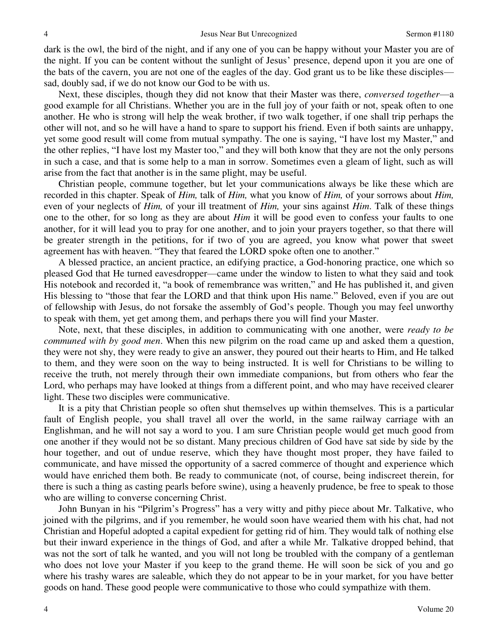dark is the owl, the bird of the night, and if any one of you can be happy without your Master you are of the night. If you can be content without the sunlight of Jesus' presence, depend upon it you are one of the bats of the cavern, you are not one of the eagles of the day. God grant us to be like these disciples sad, doubly sad, if we do not know our God to be with us.

Next, these disciples, though they did not know that their Master was there, *conversed together*—a good example for all Christians. Whether you are in the full joy of your faith or not, speak often to one another. He who is strong will help the weak brother, if two walk together, if one shall trip perhaps the other will not, and so he will have a hand to spare to support his friend. Even if both saints are unhappy, yet some good result will come from mutual sympathy. The one is saying, "I have lost my Master," and the other replies, "I have lost my Master too," and they will both know that they are not the only persons in such a case, and that is some help to a man in sorrow. Sometimes even a gleam of light, such as will arise from the fact that another is in the same plight, may be useful.

Christian people, commune together, but let your communications always be like these which are recorded in this chapter. Speak of *Him,* talk of *Him,* what you know of *Him,* of your sorrows about *Him,* even of your neglects of *Him,* of your ill treatment of *Him,* your sins against *Him*. Talk of these things one to the other, for so long as they are about *Him* it will be good even to confess your faults to one another, for it will lead you to pray for one another, and to join your prayers together, so that there will be greater strength in the petitions, for if two of you are agreed, you know what power that sweet agreement has with heaven. "They that feared the LORD spoke often one to another."

A blessed practice, an ancient practice, an edifying practice, a God-honoring practice, one which so pleased God that He turned eavesdropper—came under the window to listen to what they said and took His notebook and recorded it, "a book of remembrance was written," and He has published it, and given His blessing to "those that fear the LORD and that think upon His name." Beloved, even if you are out of fellowship with Jesus, do not forsake the assembly of God's people. Though you may feel unworthy to speak with them, yet get among them, and perhaps there you will find your Master.

Note, next, that these disciples, in addition to communicating with one another, were *ready to be communed with by good men*. When this new pilgrim on the road came up and asked them a question, they were not shy, they were ready to give an answer, they poured out their hearts to Him, and He talked to them, and they were soon on the way to being instructed. It is well for Christians to be willing to receive the truth, not merely through their own immediate companions, but from others who fear the Lord, who perhaps may have looked at things from a different point, and who may have received clearer light. These two disciples were communicative.

It is a pity that Christian people so often shut themselves up within themselves. This is a particular fault of English people, you shall travel all over the world, in the same railway carriage with an Englishman, and he will not say a word to you. I am sure Christian people would get much good from one another if they would not be so distant. Many precious children of God have sat side by side by the hour together, and out of undue reserve, which they have thought most proper, they have failed to communicate, and have missed the opportunity of a sacred commerce of thought and experience which would have enriched them both. Be ready to communicate (not, of course, being indiscreet therein, for there is such a thing as casting pearls before swine), using a heavenly prudence, be free to speak to those who are willing to converse concerning Christ.

John Bunyan in his "Pilgrim's Progress" has a very witty and pithy piece about Mr. Talkative, who joined with the pilgrims, and if you remember, he would soon have wearied them with his chat, had not Christian and Hopeful adopted a capital expedient for getting rid of him. They would talk of nothing else but their inward experience in the things of God, and after a while Mr. Talkative dropped behind, that was not the sort of talk he wanted, and you will not long be troubled with the company of a gentleman who does not love your Master if you keep to the grand theme. He will soon be sick of you and go where his trashy wares are saleable, which they do not appear to be in your market, for you have better goods on hand. These good people were communicative to those who could sympathize with them.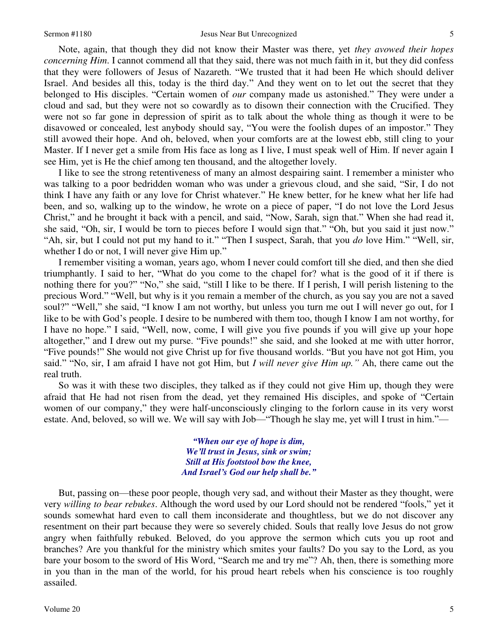Note, again, that though they did not know their Master was there, yet *they avowed their hopes concerning Him*. I cannot commend all that they said, there was not much faith in it, but they did confess that they were followers of Jesus of Nazareth. "We trusted that it had been He which should deliver Israel. And besides all this, today is the third day." And they went on to let out the secret that they belonged to His disciples. "Certain women of *our* company made us astonished." They were under a cloud and sad, but they were not so cowardly as to disown their connection with the Crucified. They were not so far gone in depression of spirit as to talk about the whole thing as though it were to be disavowed or concealed, lest anybody should say, "You were the foolish dupes of an impostor." They still avowed their hope. And oh, beloved, when your comforts are at the lowest ebb, still cling to your Master. If I never get a smile from His face as long as I live, I must speak well of Him. If never again I see Him, yet is He the chief among ten thousand, and the altogether lovely.

I like to see the strong retentiveness of many an almost despairing saint. I remember a minister who was talking to a poor bedridden woman who was under a grievous cloud, and she said, "Sir, I do not think I have any faith or any love for Christ whatever." He knew better, for he knew what her life had been, and so, walking up to the window, he wrote on a piece of paper, "I do not love the Lord Jesus Christ," and he brought it back with a pencil, and said, "Now, Sarah, sign that." When she had read it, she said, "Oh, sir, I would be torn to pieces before I would sign that." "Oh, but you said it just now." "Ah, sir, but I could not put my hand to it." "Then I suspect, Sarah, that you *do* love Him." "Well, sir, whether I do or not, I will never give Him up."

I remember visiting a woman, years ago, whom I never could comfort till she died, and then she died triumphantly. I said to her, "What do you come to the chapel for? what is the good of it if there is nothing there for you?" "No," she said, "still I like to be there. If I perish, I will perish listening to the precious Word." "Well, but why is it you remain a member of the church, as you say you are not a saved soul?" "Well," she said, "I know I am not worthy, but unless you turn me out I will never go out, for I like to be with God's people. I desire to be numbered with them too, though I know I am not worthy, for I have no hope." I said, "Well, now, come, I will give you five pounds if you will give up your hope altogether," and I drew out my purse. "Five pounds!" she said, and she looked at me with utter horror, "Five pounds!" She would not give Christ up for five thousand worlds. "But you have not got Him, you said." "No, sir, I am afraid I have not got Him, but *I will never give Him up."* Ah, there came out the real truth.

So was it with these two disciples, they talked as if they could not give Him up, though they were afraid that He had not risen from the dead, yet they remained His disciples, and spoke of "Certain women of our company," they were half-unconsciously clinging to the forlorn cause in its very worst estate. And, beloved, so will we. We will say with Job—"Though he slay me, yet will I trust in him."—

> *"When our eye of hope is dim, We'll trust in Jesus, sink or swim; Still at His footstool bow the knee, And Israel's God our help shall be."*

But, passing on—these poor people, though very sad, and without their Master as they thought, were very *willing to bear rebukes*. Although the word used by our Lord should not be rendered "fools," yet it sounds somewhat hard even to call them inconsiderate and thoughtless, but we do not discover any resentment on their part because they were so severely chided. Souls that really love Jesus do not grow angry when faithfully rebuked. Beloved, do you approve the sermon which cuts you up root and branches? Are you thankful for the ministry which smites your faults? Do you say to the Lord, as you bare your bosom to the sword of His Word, "Search me and try me"? Ah, then, there is something more in you than in the man of the world, for his proud heart rebels when his conscience is too roughly assailed.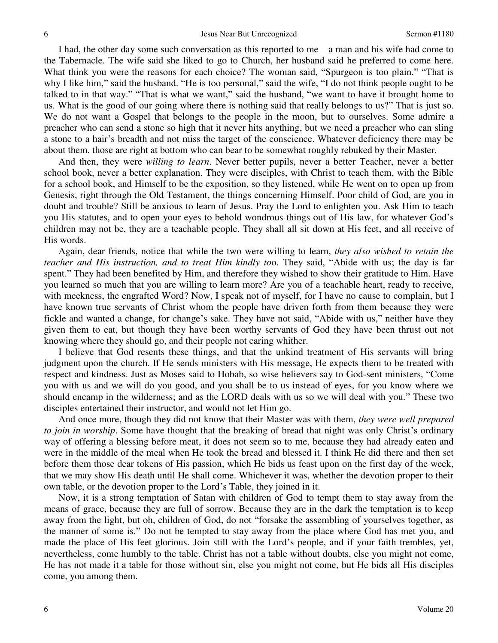I had, the other day some such conversation as this reported to me—a man and his wife had come to the Tabernacle. The wife said she liked to go to Church, her husband said he preferred to come here. What think you were the reasons for each choice? The woman said, "Spurgeon is too plain." "That is why I like him," said the husband. "He is too personal," said the wife, "I do not think people ought to be talked to in that way." "That is what we want," said the husband, "we want to have it brought home to us. What is the good of our going where there is nothing said that really belongs to us?" That is just so. We do not want a Gospel that belongs to the people in the moon, but to ourselves. Some admire a preacher who can send a stone so high that it never hits anything, but we need a preacher who can sling a stone to a hair's breadth and not miss the target of the conscience. Whatever deficiency there may be about them, those are right at bottom who can bear to be somewhat roughly rebuked by their Master.

And then, they were *willing to learn*. Never better pupils, never a better Teacher, never a better school book, never a better explanation. They were disciples, with Christ to teach them, with the Bible for a school book, and Himself to be the exposition, so they listened, while He went on to open up from Genesis, right through the Old Testament, the things concerning Himself. Poor child of God, are you in doubt and trouble? Still be anxious to learn of Jesus. Pray the Lord to enlighten you. Ask Him to teach you His statutes, and to open your eyes to behold wondrous things out of His law, for whatever God's children may not be, they are a teachable people. They shall all sit down at His feet, and all receive of His words.

Again, dear friends, notice that while the two were willing to learn, *they also wished to retain the teacher and His instruction, and to treat Him kindly to*o. They said, "Abide with us; the day is far spent." They had been benefited by Him, and therefore they wished to show their gratitude to Him. Have you learned so much that you are willing to learn more? Are you of a teachable heart, ready to receive, with meekness, the engrafted Word? Now, I speak not of myself, for I have no cause to complain, but I have known true servants of Christ whom the people have driven forth from them because they were fickle and wanted a change, for change's sake. They have not said, "Abide with us," neither have they given them to eat, but though they have been worthy servants of God they have been thrust out not knowing where they should go, and their people not caring whither.

I believe that God resents these things, and that the unkind treatment of His servants will bring judgment upon the church. If He sends ministers with His message, He expects them to be treated with respect and kindness. Just as Moses said to Hobab, so wise believers say to God-sent ministers, "Come you with us and we will do you good, and you shall be to us instead of eyes, for you know where we should encamp in the wilderness; and as the LORD deals with us so we will deal with you." These two disciples entertained their instructor, and would not let Him go.

And once more, though they did not know that their Master was with them, *they were well prepared to join in worship*. Some have thought that the breaking of bread that night was only Christ's ordinary way of offering a blessing before meat, it does not seem so to me, because they had already eaten and were in the middle of the meal when He took the bread and blessed it. I think He did there and then set before them those dear tokens of His passion, which He bids us feast upon on the first day of the week, that we may show His death until He shall come. Whichever it was, whether the devotion proper to their own table, or the devotion proper to the Lord's Table, they joined in it.

Now, it is a strong temptation of Satan with children of God to tempt them to stay away from the means of grace, because they are full of sorrow. Because they are in the dark the temptation is to keep away from the light, but oh, children of God, do not "forsake the assembling of yourselves together, as the manner of some is." Do not be tempted to stay away from the place where God has met you, and made the place of His feet glorious. Join still with the Lord's people, and if your faith trembles, yet, nevertheless, come humbly to the table. Christ has not a table without doubts, else you might not come, He has not made it a table for those without sin, else you might not come, but He bids all His disciples come, you among them.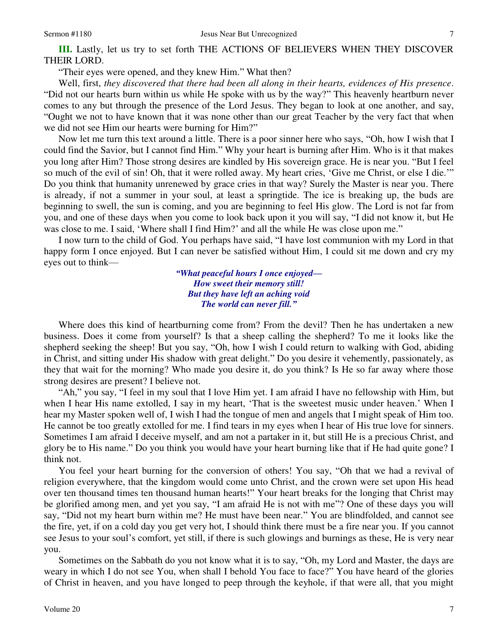"Their eyes were opened, and they knew Him." What then?

Well, first, *they discovered that there had been all along in their hearts, evidences of His presence*. "Did not our hearts burn within us while He spoke with us by the way?" This heavenly heartburn never comes to any but through the presence of the Lord Jesus. They began to look at one another, and say, "Ought we not to have known that it was none other than our great Teacher by the very fact that when we did not see Him our hearts were burning for Him?"

Now let me turn this text around a little. There is a poor sinner here who says, "Oh, how I wish that I could find the Savior, but I cannot find Him." Why your heart is burning after Him. Who is it that makes you long after Him? Those strong desires are kindled by His sovereign grace. He is near you. "But I feel so much of the evil of sin! Oh, that it were rolled away. My heart cries, 'Give me Christ, or else I die.'" Do you think that humanity unrenewed by grace cries in that way? Surely the Master is near you. There is already, if not a summer in your soul, at least a springtide. The ice is breaking up, the buds are beginning to swell, the sun is coming, and you are beginning to feel His glow. The Lord is not far from you, and one of these days when you come to look back upon it you will say, "I did not know it, but He was close to me. I said, 'Where shall I find Him?' and all the while He was close upon me."

I now turn to the child of God. You perhaps have said, "I have lost communion with my Lord in that happy form I once enjoyed. But I can never be satisfied without Him, I could sit me down and cry my eyes out to think—

> *"What peaceful hours I once enjoyed— How sweet their memory still! But they have left an aching void The world can never fill."*

 Where does this kind of heartburning come from? From the devil? Then he has undertaken a new business. Does it come from yourself? Is that a sheep calling the shepherd? To me it looks like the shepherd seeking the sheep! But you say, "Oh, how I wish I could return to walking with God, abiding in Christ, and sitting under His shadow with great delight." Do you desire it vehemently, passionately, as they that wait for the morning? Who made you desire it, do you think? Is He so far away where those strong desires are present? I believe not.

"Ah," you say, "I feel in my soul that I love Him yet. I am afraid I have no fellowship with Him, but when I hear His name extolled, I say in my heart, 'That is the sweetest music under heaven.' When I hear my Master spoken well of, I wish I had the tongue of men and angels that I might speak of Him too. He cannot be too greatly extolled for me. I find tears in my eyes when I hear of His true love for sinners. Sometimes I am afraid I deceive myself, and am not a partaker in it, but still He is a precious Christ, and glory be to His name." Do you think you would have your heart burning like that if He had quite gone? I think not.

You feel your heart burning for the conversion of others! You say, "Oh that we had a revival of religion everywhere, that the kingdom would come unto Christ, and the crown were set upon His head over ten thousand times ten thousand human hearts!" Your heart breaks for the longing that Christ may be glorified among men, and yet you say, "I am afraid He is not with me"? One of these days you will say, "Did not my heart burn within me? He must have been near." You are blindfolded, and cannot see the fire, yet, if on a cold day you get very hot, I should think there must be a fire near you. If you cannot see Jesus to your soul's comfort, yet still, if there is such glowings and burnings as these, He is very near you.

Sometimes on the Sabbath do you not know what it is to say, "Oh, my Lord and Master, the days are weary in which I do not see You, when shall I behold You face to face?" You have heard of the glories of Christ in heaven, and you have longed to peep through the keyhole, if that were all, that you might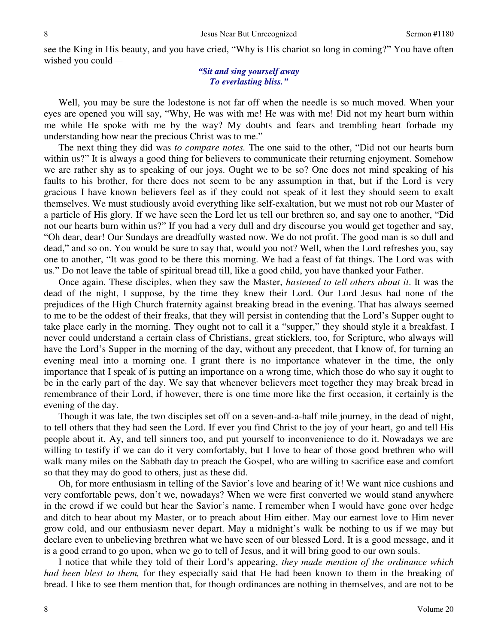see the King in His beauty, and you have cried, "Why is His chariot so long in coming?" You have often wished you could—

#### *"Sit and sing yourself away To everlasting bliss."*

 Well, you may be sure the lodestone is not far off when the needle is so much moved. When your eyes are opened you will say, "Why, He was with me! He was with me! Did not my heart burn within me while He spoke with me by the way? My doubts and fears and trembling heart forbade my understanding how near the precious Christ was to me."

The next thing they did was *to compare notes.* The one said to the other, "Did not our hearts burn within us?" It is always a good thing for believers to communicate their returning enjoyment. Somehow we are rather shy as to speaking of our joys. Ought we to be so? One does not mind speaking of his faults to his brother, for there does not seem to be any assumption in that, but if the Lord is very gracious I have known believers feel as if they could not speak of it lest they should seem to exalt themselves. We must studiously avoid everything like self-exaltation, but we must not rob our Master of a particle of His glory. If we have seen the Lord let us tell our brethren so, and say one to another, "Did not our hearts burn within us?" If you had a very dull and dry discourse you would get together and say, "Oh dear, dear! Our Sundays are dreadfully wasted now. We do not profit. The good man is so dull and dead," and so on. You would be sure to say that, would you not? Well, when the Lord refreshes you, say one to another, "It was good to be there this morning. We had a feast of fat things. The Lord was with us." Do not leave the table of spiritual bread till, like a good child, you have thanked your Father.

Once again. These disciples, when they saw the Master, *hastened to tell others about it*. It was the dead of the night, I suppose, by the time they knew their Lord. Our Lord Jesus had none of the prejudices of the High Church fraternity against breaking bread in the evening. That has always seemed to me to be the oddest of their freaks, that they will persist in contending that the Lord's Supper ought to take place early in the morning. They ought not to call it a "supper," they should style it a breakfast. I never could understand a certain class of Christians, great sticklers, too, for Scripture, who always will have the Lord's Supper in the morning of the day, without any precedent, that I know of, for turning an evening meal into a morning one. I grant there is no importance whatever in the time, the only importance that I speak of is putting an importance on a wrong time, which those do who say it ought to be in the early part of the day. We say that whenever believers meet together they may break bread in remembrance of their Lord, if however, there is one time more like the first occasion, it certainly is the evening of the day.

Though it was late, the two disciples set off on a seven-and-a-half mile journey, in the dead of night, to tell others that they had seen the Lord. If ever you find Christ to the joy of your heart, go and tell His people about it. Ay, and tell sinners too, and put yourself to inconvenience to do it. Nowadays we are willing to testify if we can do it very comfortably, but I love to hear of those good brethren who will walk many miles on the Sabbath day to preach the Gospel, who are willing to sacrifice ease and comfort so that they may do good to others, just as these did.

Oh, for more enthusiasm in telling of the Savior's love and hearing of it! We want nice cushions and very comfortable pews, don't we, nowadays? When we were first converted we would stand anywhere in the crowd if we could but hear the Savior's name. I remember when I would have gone over hedge and ditch to hear about my Master, or to preach about Him either. May our earnest love to Him never grow cold, and our enthusiasm never depart. May a midnight's walk be nothing to us if we may but declare even to unbelieving brethren what we have seen of our blessed Lord. It is a good message, and it is a good errand to go upon, when we go to tell of Jesus, and it will bring good to our own souls.

I notice that while they told of their Lord's appearing, *they made mention of the ordinance which had been blest to them,* for they especially said that He had been known to them in the breaking of bread. I like to see them mention that, for though ordinances are nothing in themselves, and are not to be